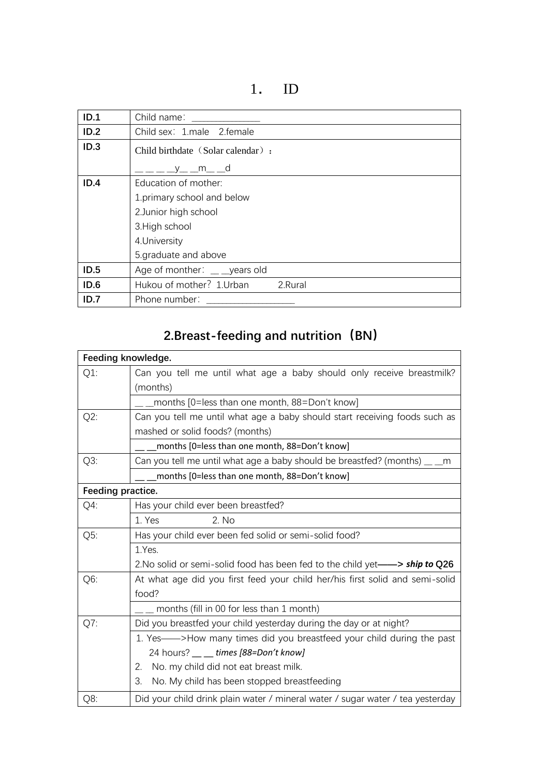1. ID

| ID.1 | Child name:                        |
|------|------------------------------------|
| ID.2 | Child sex: 1.male 2.female         |
| ID.3 | Child birthdate (Solar calendar) : |
|      | v m d                              |
| ID.4 | Education of mother:               |
|      | 1.primary school and below         |
|      | 2. Junior high school              |
|      | 3. High school                     |
|      | 4. University                      |
|      | 5.graduate and above               |
| ID.5 | Age of monther: vears old          |
| ID.6 | Hukou of mother? 1. Urban 2. Rural |
| ID.7 | Phone number:                      |

## **2.Breast-feeding and nutrition(BN)**

|        | Feeding knowledge.                                                                    |
|--------|---------------------------------------------------------------------------------------|
| $Q1$ : | Can you tell me until what age a baby should only receive breastmilk?<br>(months)     |
|        | months [0=less than one month, 88=Don't know]                                         |
| $Q2$ : | Can you tell me until what age a baby should start receiving foods such as            |
|        | mashed or solid foods? (months)                                                       |
|        | months [0=less than one month, 88=Don't know]                                         |
| Q3:    | Can you tell me until what age a baby should be breastfed? (months) __ _<br>m         |
|        | months [0=less than one month, 88=Don't know]                                         |
|        | Feeding practice.                                                                     |
| $Q4$ : | Has your child ever been breastfed?                                                   |
|        | 2. No<br>1. Yes                                                                       |
| Q5:    | Has your child ever been fed solid or semi-solid food?                                |
|        | 1.Yes.                                                                                |
|        | 2. No solid or semi-solid food has been fed to the child yet—> ship to Q26            |
| Q6:    | At what age did you first feed your child her/his first solid and semi-solid<br>food? |
|        | months (fill in 00 for less than 1 month)                                             |
| Q7:    | Did you breastfed your child yesterday during the day or at night?                    |
|        | 1. Yes--->How many times did you breastfeed your child during the past                |
|        | 24 hours? __ _ times [88=Don't know]                                                  |
|        | No. my child did not eat breast milk.<br>2.                                           |
|        | 3.<br>No. My child has been stopped breastfeeding                                     |
| Q8:    | Did your child drink plain water / mineral water / sugar water / tea yesterday        |